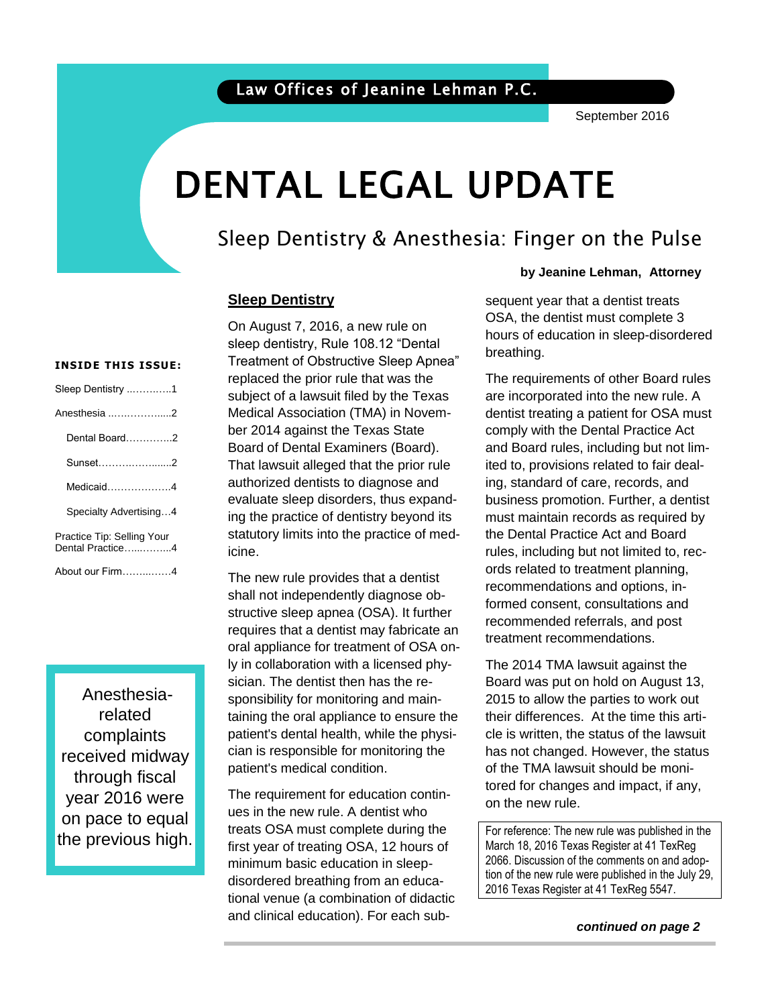# DENTAL LEGAL UPDATE

## Sleep Dentistry & Anesthesia: Finger on the Pulse

#### **Sleep Dentistry**

sleep dentistry, Rule 108.12 "Dental Treatment of Obstructive Sleep Apnea" replaced the prior rule that was the subject of a lawsuit filed by the Texas Medical Association (TMA) in November 2014 against the Texas State Board of Dental Examiners (Board). That lawsuit alleged that the prior rule authorized dentists to diagnose and evaluate sleep disorders, thus expanding the practice of dentistry beyond its statutory limits into the practice of medicine.

On August 7, 2016, a new rule on

The new rule provides that a dentist shall not independently diagnose obstructive sleep apnea (OSA). It further requires that a dentist may fabricate an oral appliance for treatment of OSA only in collaboration with a licensed physician. The dentist then has the responsibility for monitoring and maintaining the oral appliance to ensure the patient's dental health, while the physician is responsible for monitoring the patient's medical condition.

The requirement for education continues in the new rule. A dentist who treats OSA must complete during the first year of treating OSA, 12 hours of minimum basic education in sleepdisordered breathing from an educational venue (a combination of didactic and clinical education). For each sub-

#### **by Jeanine Lehman, Attorney**

hours of education in sleep-disordered sequent year that a dentist treats OSA, the dentist must complete 3 breathing.

The requirements of other Board rules are incorporated into the new rule. A<br>dentist treating a patient for OSA must are incorporated into the new rule. A comply with the Dental Practice Act and Board rules, including but not limited to, provisions related to fair dealing, standard of care, records, and business promotion. Further, a dentist must maintain records as required by the Dental Practice Act and Board rules, including but not limited to, records related to treatment planning, recommendations and options, informed consent, consultations and recommended referrals, and post treatment recommendations.

The 2014 TMA lawsuit against the Board was put on hold on August 13, 2015 to allow the parties to work out their differences. At the time this article is written, the status of the lawsuit has not changed. However, the status of the TMA lawsuit should be monitored for changes and impact, if any, on the new rule.

 March 18, 2016 Texas Register at 41 TexReg For reference: The new rule was published in the 2066. Discussion of the comments on and adoption of the new rule were published in the July 29, 2016 Texas Register at 41 TexReg 5547.

### *continued on page 2*

#### **INSIDE THIS ISSUE:**

| Sleep Dentistry 1                              |
|------------------------------------------------|
| Anesthesia 2                                   |
| Dental Board2                                  |
| Sunset2                                        |
| Medicaid4                                      |
| Specialty Advertising4                         |
| Practice Tip: Selling Your<br>Dental Practice4 |
| About our Firm4                                |

Anesthesiarelated complaints received midway through fiscal year 2016 were on pace to equal the previous high.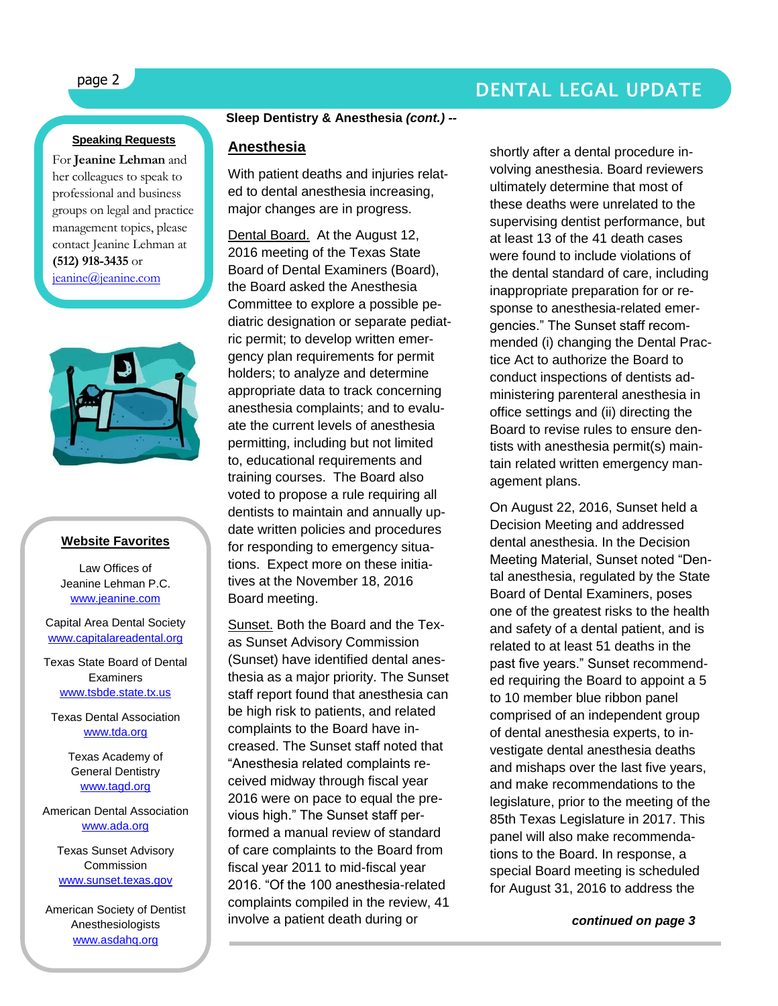## page 2 DENTAL LEGAL UPDATE

#### **Speaking Requests**

For **Jeanine Lehman** and her colleagues to speak to professional and business groups on legal and practice management topics, please contact Jeanine Lehman at **(512) 918-3435** or [jeanine@jeanine.com](mailto:jeanine@jeanine.com)

ì



#### **Website Favorites**

Law Offices of Jeanine Lehman P.C. [www.jeanine.com](http://www.jeanine.com/)

Capital Area Dental Society [www.capitalareadental.org](http://www.capitalareadental.org/)

Texas State Board of Dental **Examiners** [www.tsbde.state.tx.us](http://www.tsbde.state.tx.us/)

Texas Dental Association [www.tda.org](http://www.tda.org/)

> Texas Academy of General Dentistry [www.tagd.org](http://www.tagd.org/)

American Dental Association [www.ada.org](http://www.ada.org/)

Texas Sunset Advisory Commission [www.sunset.texas.gov](http://www.sunset.texas.gov/)

American Society of Dentist Anesthesiologists [www.asdahq.org](http://www.asdahq.org/)

#### **Sleep Dentistry & Anesthesia** *(cont.) --*

#### **Anesthesia**

With patient deaths and injuries related to dental anesthesia increasing, major changes are in progress.

Dental Board. At the August 12, 2016 meeting of the Texas State Board of Dental Examiners (Board), the Board asked the Anesthesia Committee to explore a possible pediatric designation or separate pediatric permit; to develop written emergency plan requirements for permit holders; to analyze and determine appropriate data to track concerning anesthesia complaints; and to evaluate the current levels of anesthesia permitting, including but not limited to, educational requirements and training courses. The Board also voted to propose a rule requiring all dentists to maintain and annually update written policies and procedures for responding to emergency situations. Expect more on these initiatives at the November 18, 2016 Board meeting.

Sunset. Both the Board and the Texas Sunset Advisory Commission (Sunset) have identified dental anesthesia as a major priority. The Sunset staff report found that anesthesia can be high risk to patients, and related complaints to the Board have increased. The Sunset staff noted that "Anesthesia related complaints received midway through fiscal year 2016 were on pace to equal the previous high." The Sunset staff performed a manual review of standard of care complaints to the Board from fiscal year 2011 to mid-fiscal year 2016. "Of the 100 anesthesia-related complaints compiled in the review, 41 involve a patient death during or

shortly after a dental procedure involving anesthesia. Board reviewers ultimately determine that most of these deaths were unrelated to the supervising dentist performance, but at least 13 of the 41 death cases were found to include violations of the dental standard of care, including inappropriate preparation for or response to anesthesia-related emergencies." The Sunset staff recommended (i) changing the Dental Practice Act to authorize the Board to conduct inspections of dentists administering parenteral anesthesia in office settings and (ii) directing the Board to revise rules to ensure dentists with anesthesia permit(s) maintain related written emergency management plans.

On August 22, 2016, Sunset held a Decision Meeting and addressed dental anesthesia. In the Decision Meeting Material, Sunset noted "Dental anesthesia, regulated by the State Board of Dental Examiners, poses one of the greatest risks to the health and safety of a dental patient, and is related to at least 51 deaths in the past five years." Sunset recommended requiring the Board to appoint a 5 to 10 member blue ribbon panel comprised of an independent group of dental anesthesia experts, to investigate dental anesthesia deaths and mishaps over the last five years, and make recommendations to the legislature, prior to the meeting of the 85th Texas Legislature in 2017. This panel will also make recommendations to the Board. In response, a special Board meeting is scheduled for August 31, 2016 to address the

 *continued on page 3*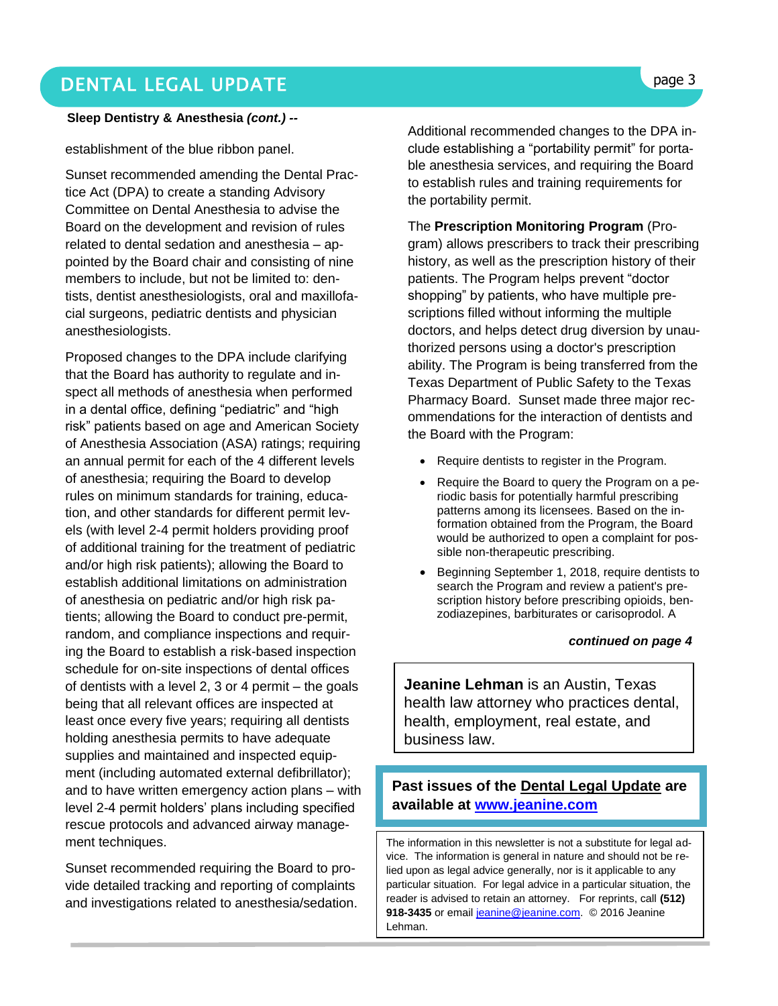## DENTAL LEGAL UPDATE **page 3**

#### **Sleep Dentistry & Anesthesia** *(cont.) --*

establishment of the blue ribbon panel.

Sunset recommended amending the Dental Practice Act (DPA) to create a standing Advisory Committee on Dental Anesthesia to advise the Board on the development and revision of rules related to dental sedation and anesthesia – appointed by the Board chair and consisting of nine members to include, but not be limited to: dentists, dentist anesthesiologists, oral and maxillofacial surgeons, pediatric dentists and physician anesthesiologists.

Proposed changes to the DPA include clarifying that the Board has authority to regulate and inspect all methods of anesthesia when performed in a dental office, defining "pediatric" and "high risk" patients based on age and American Society of Anesthesia Association (ASA) ratings; requiring an annual permit for each of the 4 different levels of anesthesia; requiring the Board to develop rules on minimum standards for training, education, and other standards for different permit levels (with level 2-4 permit holders providing proof of additional training for the treatment of pediatric and/or high risk patients); allowing the Board to establish additional limitations on administration of anesthesia on pediatric and/or high risk patients; allowing the Board to conduct pre-permit, random, and compliance inspections and requiring the Board to establish a risk-based inspection schedule for on-site inspections of dental offices of dentists with a level 2, 3 or 4 permit – the goals being that all relevant offices are inspected at least once every five years; requiring all dentists holding anesthesia permits to have adequate supplies and maintained and inspected equipment (including automated external defibrillator); and to have written emergency action plans – with level 2-4 permit holders' plans including specified rescue protocols and advanced airway management techniques.

Sunset recommended requiring the Board to provide detailed tracking and reporting of complaints and investigations related to anesthesia/sedation. Additional recommended changes to the DPA include establishing a "portability permit" for portable anesthesia services, and requiring the Board to establish rules and training requirements for the portability permit.

The **Prescription Monitoring Program** (Program) allows prescribers to track their prescribing history, as well as the prescription history of their patients. The Program helps prevent "doctor shopping" by patients, who have multiple prescriptions filled without informing the multiple doctors, and helps detect drug diversion by unauthorized persons using a doctor's prescription ability. The Program is being transferred from the Texas Department of Public Safety to the Texas Pharmacy Board. Sunset made three major recommendations for the interaction of dentists and the Board with the Program:

- Require dentists to register in the Program.
- Require the Board to query the Program on a periodic basis for potentially harmful prescribing patterns among its licensees. Based on the information obtained from the Program, the Board would be authorized to open a complaint for possible non-therapeutic prescribing.
- Beginning September 1, 2018, require dentists to search the Program and review a patient's prescription history before prescribing opioids, benzodiazepines, barbiturates or carisoprodol. A

#### *continued on page 4*

**Jeanine Lehman** is an Austin, Texas health law attorney who practices dental, health, employment, real estate, and business law.

### **Past issues of the Dental Legal Update are available at [www.jeanine.com](http://www.jeanine.com/)**

The information in this newsletter is not a substitute for legal advice. The information is general in nature and should not be relied upon as legal advice generally, nor is it applicable to any particular situation. For legal advice in a particular situation, the reader is advised to retain an attorney. For reprints, call **(512)**  918-3435 or email [jeanine@jeanine.com.](mailto:jeanine@jeanine.com) © 2016 Jeanine Lehman.